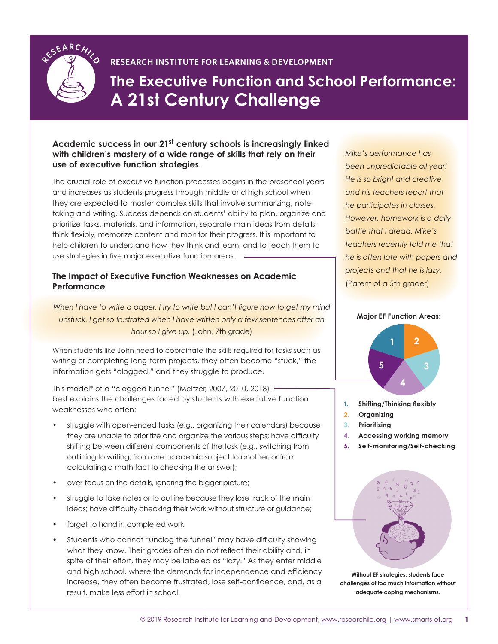

## **RESEARCH INSTITUTE FOR LEARNING & DEVELOPMENT**

**The Executive Function and School Performance: A 21st Century Challenge**

## **Academic success in our 21st century schools is increasingly linked with children's mastery of a wide range of skills that rely on their use of executive function strategies.**

The crucial role of executive function processes begins in the preschool years and increases as students progress through middle and high school when they are expected to master complex skills that involve summarizing, notetaking and writing. Success depends on students' ability to plan, organize and prioritize tasks, materials, and information, separate main ideas from details, think flexibly, memorize content and monitor their progress. It is important to help children to understand how they think and learn, and to teach them to use strategies in five major executive function areas.

#### **The Impact of Executive Function Weaknesses on Academic Performance**

*When I have to write a paper, I try to write but I can't figure how to get my mind*  unstuck. I get so frustrated when I have written only a few sentences after an *hour so I give up.* (John, 7th grade)

When students like John need to coordinate the skills required for tasks such as writing or completing long-term projects, they often become "stuck," the information gets "clogged," and they struggle to produce.

This model\* of a "clogged funnel" (Meltzer, 2007, 2010, 2018) best explains the challenges faced by students with executive function weaknesses who often:

- struggle with open-ended tasks (e.g., organizing their calendars) because they are unable to prioritize and organize the various steps; have difficulty shifting between different components of the task (e.g., switching from outlining to writing, from one academic subject to another, or from calculating a math fact to checking the answer);
- over-focus on the details, ignoring the bigger picture;
- struggle to take notes or to outline because they lose track of the main ideas; have difficulty checking their work without structure or guidance;
- forget to hand in completed work.
- Students who cannot "unclog the funnel" may have difficulty showing what they know. Their grades often do not reflect their ability and, in spite of their effort, they may be labeled as "lazy." As they enter middle and high school, where the demands for independence and efficiency increase, they often become frustrated, lose self-confidence, and, as a result, make less effort in school.

*Mike's performance has been unpredictable all year! He is so bright and creative and his teachers report that he participates in classes. However, homework is a daily battle that I dread. Mike's teachers recently told me that he is often late with papers and projects and that he is lazy.* (Parent of a 5th grader)

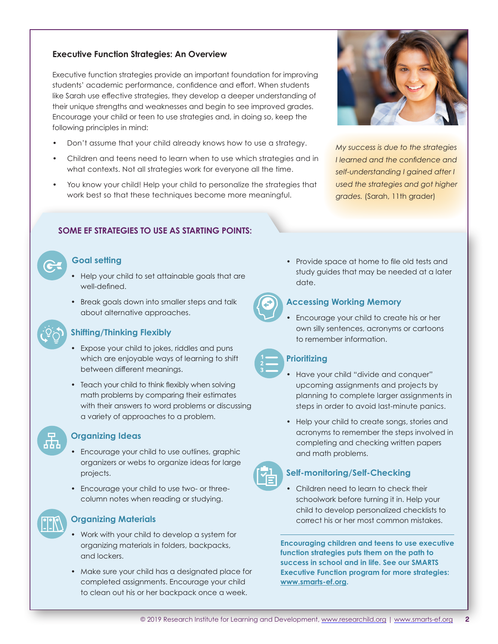#### **Executive Function Strategies: An Overview**

Executive function strategies provide an important foundation for improving students' academic performance, confidence and effort. When students like Sarah use effective strategies, they develop a deeper understanding of their unique strengths and weaknesses and begin to see improved grades. Encourage your child or teen to use strategies and, in doing so, keep the following principles in mind:

- Don't assume that your child already knows how to use a strategy.
- Children and teens need to learn when to use which strategies and in what contexts. Not all strategies work for everyone all the time.
- You know your child! Help your child to personalize the strategies that work best so that these techniques become more meaningful.



*My success is due to the strategies I learned and the confidence and self-understanding I gained after I used the strategies and got higher grades.* (Sarah, 11th grader)

## **SOME EF STRATEGIES TO USE AS STARTING POINTS:**

#### **Goal setting**

- Help your child to set attainable goals that are well-defined.
- Break goals down into smaller steps and talk about alternative approaches.

#### **Shifting/Thinking Flexibly**

- Expose your child to jokes, riddles and puns which are enjoyable ways of learning to shift between different meanings.
- Teach your child to think flexibly when solving math problems by comparing their estimates with their answers to word problems or discussing a variety of approaches to a problem.



## **Organizing Ideas**

- Encourage your child to use outlines, graphic organizers or webs to organize ideas for large projects.
- Encourage your child to use two- or threecolumn notes when reading or studying.

## **Organizing Materials**

- Work with your child to develop a system for organizing materials in folders, backpacks, and lockers.
- Make sure your child has a designated place for completed assignments. Encourage your child to clean out his or her backpack once a week.

• Provide space at home to file old tests and study guides that may be needed at a later date.



#### **Accessing Working Memory**

• Encourage your child to create his or her own silly sentences, acronyms or cartoons to remember information.

#### **Prioritizing**

- Have your child "divide and conquer" upcoming assignments and projects by planning to complete larger assignments in steps in order to avoid last-minute panics.
- Help your child to create songs, stories and acronyms to remember the steps involved in completing and checking written papers and math problems.



#### **Self-monitoring/Self-Checking**

• Children need to learn to check their schoolwork before turning it in. Help your child to develop personalized checklists to correct his or her most common mistakes.

**Encouraging children and teens to use executive function strategies puts them on the path to success in school and in life. See our SMARTS Executive Function program for more strategies: www.smarts-ef.org.**